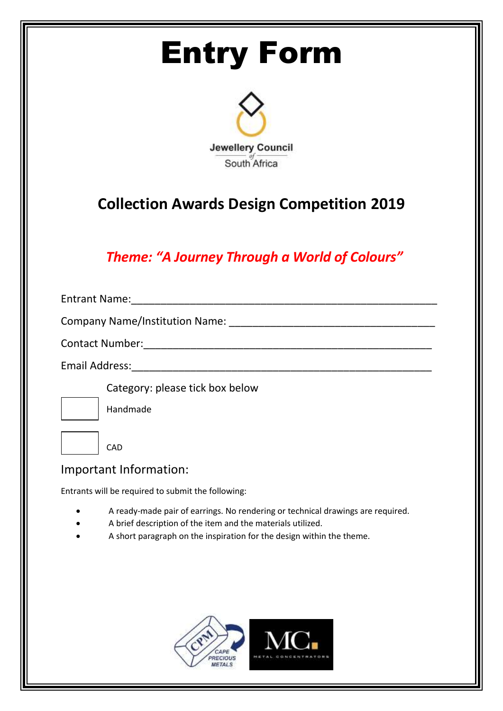# Entry Form



## **Collection Awards Design Competition 2019**

### *Theme: "A Journey Through a World of Colours"*

| <b>Entrant Name:</b>                                           |  |
|----------------------------------------------------------------|--|
|                                                                |  |
| <b>Contact Number:</b><br><u> 1980 - Jan Barbara, martin a</u> |  |
| Email Address:                                                 |  |
| Category: please tick box below                                |  |
| Handmade                                                       |  |
|                                                                |  |
| CAD                                                            |  |

### Important Information:

Entrants will be required to submit the following:

- A ready-made pair of earrings. No rendering or technical drawings are required.
- A brief description of the item and the materials utilized.
- A short paragraph on the inspiration for the design within the theme.